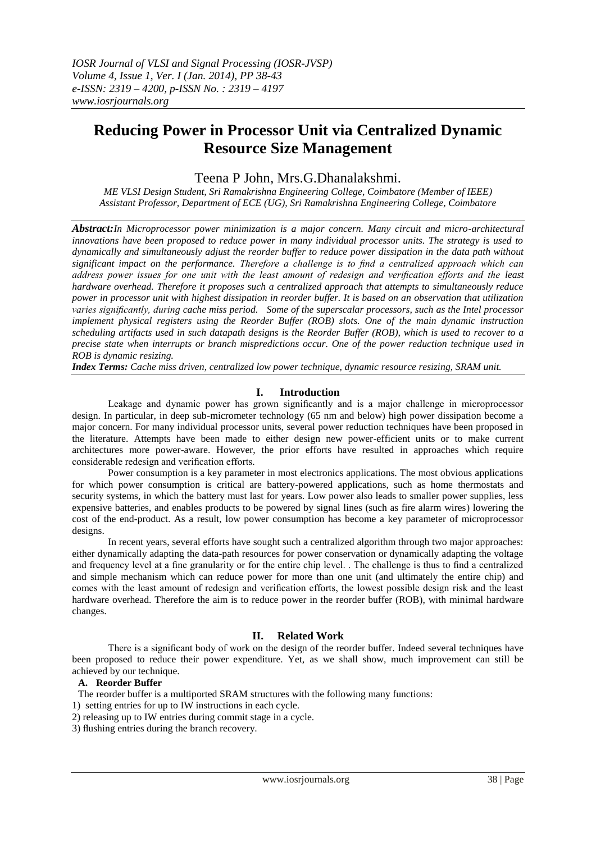# **Reducing Power in Processor Unit via Centralized Dynamic Resource Size Management**

# Teena P John, Mrs.G.Dhanalakshmi.

*ME VLSI Design Student, Sri Ramakrishna Engineering College, Coimbatore (Member of IEEE) Assistant Professor, Department of ECE (UG), Sri Ramakrishna Engineering College, Coimbatore*

*Abstract:In Microprocessor power minimization is a major concern. Many circuit and micro-architectural innovations have been proposed to reduce power in many individual processor units. The strategy is used to dynamically and simultaneously adjust the reorder buffer to reduce power dissipation in the data path without significant impact on the performance. Therefore a challenge is to find a centralized approach which can address power issues for one unit with the least amount of redesign and verification efforts and the least hardware overhead. Therefore it proposes such a centralized approach that attempts to simultaneously reduce power in processor unit with highest dissipation in reorder buffer. It is based on an observation that utilization varies significantly, during cache miss period. Some of the superscalar processors, such as the Intel processor implement physical registers using the Reorder Buffer (ROB) slots. One of the main dynamic instruction scheduling artifacts used in such datapath designs is the Reorder Buffer (ROB), which is used to recover to a precise state when interrupts or branch mispredictions occur. One of the power reduction technique used in ROB is dynamic resizing.*

*Index Terms: Cache miss driven, centralized low power technique, dynamic resource resizing, SRAM unit.*

# **I. Introduction**

Leakage and dynamic power has grown significantly and is a major challenge in microprocessor design. In particular, in deep sub-micrometer technology (65 nm and below) high power dissipation become a major concern. For many individual processor units, several power reduction techniques have been proposed in the literature. Attempts have been made to either design new power-efficient units or to make current architectures more power-aware. However, the prior efforts have resulted in approaches which require considerable redesign and verification efforts.

Power consumption is a key parameter in most electronics applications. The most obvious applications for which power consumption is critical are battery-powered applications, such as home thermostats and security systems, in which the battery must last for years. Low power also leads to smaller power supplies, less expensive batteries, and enables products to be powered by signal lines (such as fire alarm wires) lowering the cost of the end-product. As a result, low power consumption has become a key parameter of microprocessor designs.

In recent years, several efforts have sought such a centralized algorithm through two major approaches: either dynamically adapting the data-path resources for power conservation or dynamically adapting the voltage and frequency level at a fine granularity or for the entire chip level. . The challenge is thus to find a centralized and simple mechanism which can reduce power for more than one unit (and ultimately the entire chip) and comes with the least amount of redesign and verification efforts, the lowest possible design risk and the least hardware overhead. Therefore the aim is to reduce power in the reorder buffer (ROB), with minimal hardware changes.

# **II. Related Work**

There is a significant body of work on the design of the reorder buffer. Indeed several techniques have been proposed to reduce their power expenditure. Yet, as we shall show, much improvement can still be achieved by our technique.

#### **A. Reorder Buffer**

The reorder buffer is a multiported SRAM structures with the following many functions:

- 1) setting entries for up to IW instructions in each cycle.
- 2) releasing up to IW entries during commit stage in a cycle.
- 3) flushing entries during the branch recovery.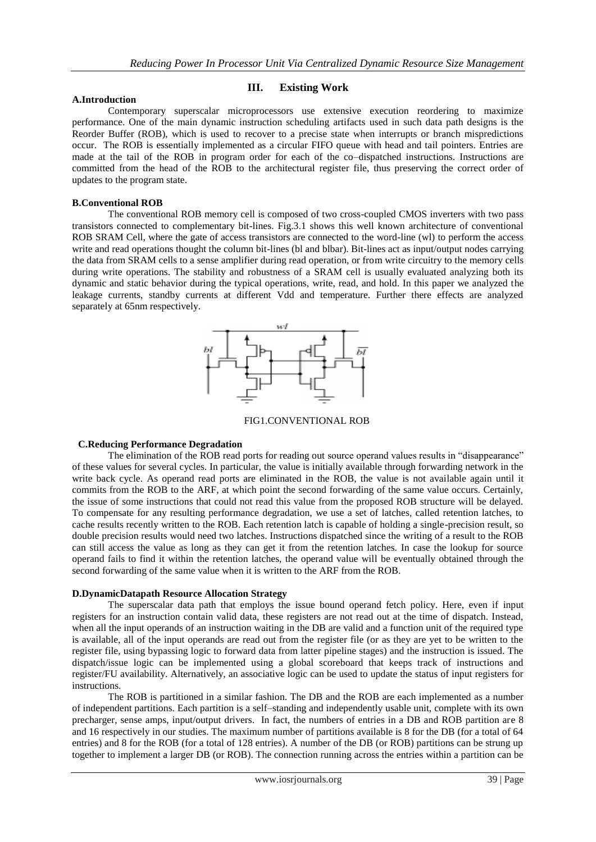**III. Existing Work**

Contemporary superscalar microprocessors use extensive execution reordering to maximize performance. One of the main dynamic instruction scheduling artifacts used in such data path designs is the Reorder Buffer (ROB), which is used to recover to a precise state when interrupts or branch mispredictions occur. The ROB is essentially implemented as a circular FIFO queue with head and tail pointers. Entries are made at the tail of the ROB in program order for each of the co–dispatched instructions. Instructions are committed from the head of the ROB to the architectural register file, thus preserving the correct order of updates to the program state.

#### **B.Conventional ROB**

**A.Introduction**

The conventional ROB memory cell is composed of two cross-coupled CMOS inverters with two pass transistors connected to complementary bit-lines. Fig.3.1 shows this well known architecture of conventional ROB SRAM Cell, where the gate of access transistors are connected to the word-line (wl) to perform the access write and read operations thought the column bit-lines (bl and blbar). Bit-lines act as input/output nodes carrying the data from SRAM cells to a sense amplifier during read operation, or from write circuitry to the memory cells during write operations. The stability and robustness of a SRAM cell is usually evaluated analyzing both its dynamic and static behavior during the typical operations, write, read, and hold. In this paper we analyzed the leakage currents, standby currents at different Vdd and temperature. Further there effects are analyzed separately at 65nm respectively.



FIG1.CONVENTIONAL ROB

#### **C.Reducing Performance Degradation**

The elimination of the ROB read ports for reading out source operand values results in "disappearance" of these values for several cycles. In particular, the value is initially available through forwarding network in the write back cycle. As operand read ports are eliminated in the ROB, the value is not available again until it commits from the ROB to the ARF, at which point the second forwarding of the same value occurs. Certainly, the issue of some instructions that could not read this value from the proposed ROB structure will be delayed. To compensate for any resulting performance degradation, we use a set of latches, called retention latches, to cache results recently written to the ROB. Each retention latch is capable of holding a single-precision result, so double precision results would need two latches. Instructions dispatched since the writing of a result to the ROB can still access the value as long as they can get it from the retention latches. In case the lookup for source operand fails to find it within the retention latches, the operand value will be eventually obtained through the second forwarding of the same value when it is written to the ARF from the ROB.

#### **D.DynamicDatapath Resource Allocation Strategy**

The superscalar data path that employs the issue bound operand fetch policy. Here, even if input registers for an instruction contain valid data, these registers are not read out at the time of dispatch. Instead, when all the input operands of an instruction waiting in the DB are valid and a function unit of the required type is available, all of the input operands are read out from the register file (or as they are yet to be written to the register file, using bypassing logic to forward data from latter pipeline stages) and the instruction is issued. The dispatch/issue logic can be implemented using a global scoreboard that keeps track of instructions and register/FU availability. Alternatively, an associative logic can be used to update the status of input registers for instructions.

The ROB is partitioned in a similar fashion. The DB and the ROB are each implemented as a number of independent partitions. Each partition is a self–standing and independently usable unit, complete with its own precharger, sense amps, input/output drivers. In fact, the numbers of entries in a DB and ROB partition are 8 and 16 respectively in our studies. The maximum number of partitions available is 8 for the DB (for a total of 64 entries) and 8 for the ROB (for a total of 128 entries). A number of the DB (or ROB) partitions can be strung up together to implement a larger DB (or ROB). The connection running across the entries within a partition can be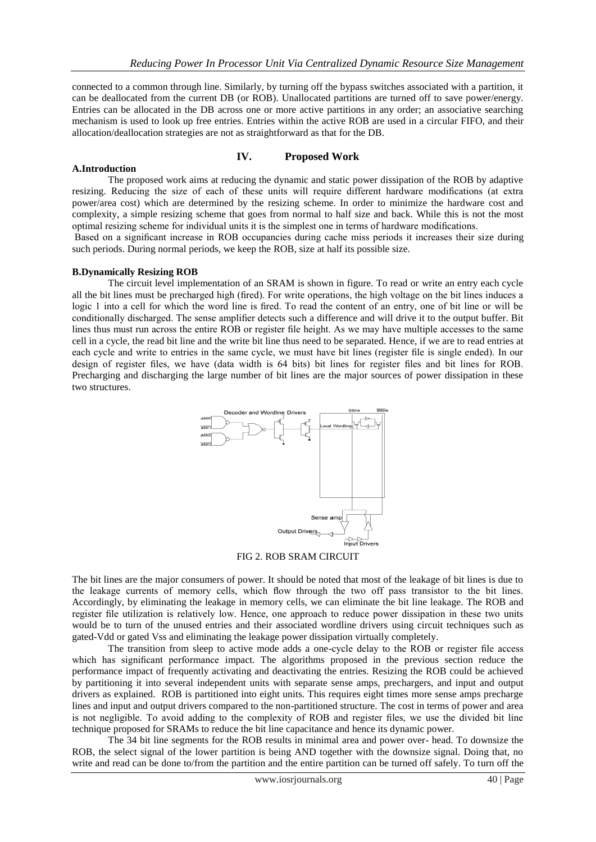connected to a common through line. Similarly, by turning off the bypass switches associated with a partition, it can be deallocated from the current DB (or ROB). Unallocated partitions are turned off to save power/energy. Entries can be allocated in the DB across one or more active partitions in any order; an associative searching mechanism is used to look up free entries. Entries within the active ROB are used in a circular FIFO, and their allocation/deallocation strategies are not as straightforward as that for the DB.

### **IV. Proposed Work**

#### **A.Introduction**

The proposed work aims at reducing the dynamic and static power dissipation of the ROB by adaptive resizing. Reducing the size of each of these units will require different hardware modifications (at extra power/area cost) which are determined by the resizing scheme. In order to minimize the hardware cost and complexity, a simple resizing scheme that goes from normal to half size and back. While this is not the most optimal resizing scheme for individual units it is the simplest one in terms of hardware modifications.

Based on a significant increase in ROB occupancies during cache miss periods it increases their size during such periods. During normal periods, we keep the ROB, size at half its possible size.

#### **B.Dynamically Resizing ROB**

The circuit level implementation of an SRAM is shown in figure. To read or write an entry each cycle all the bit lines must be precharged high (fired). For write operations, the high voltage on the bit lines induces a logic 1 into a cell for which the word line is fired. To read the content of an entry, one of bit line or will be conditionally discharged. The sense amplifier detects such a difference and will drive it to the output buffer. Bit lines thus must run across the entire ROB or register file height. As we may have multiple accesses to the same cell in a cycle, the read bit line and the write bit line thus need to be separated. Hence, if we are to read entries at each cycle and write to entries in the same cycle, we must have bit lines (register file is single ended). In our design of register files, we have (data width is 64 bits) bit lines for register files and bit lines for ROB. Precharging and discharging the large number of bit lines are the major sources of power dissipation in these two structures.



FIG 2. ROB SRAM CIRCUIT

The bit lines are the major consumers of power. It should be noted that most of the leakage of bit lines is due to the leakage currents of memory cells, which flow through the two off pass transistor to the bit lines. Accordingly, by eliminating the leakage in memory cells, we can eliminate the bit line leakage. The ROB and register file utilization is relatively low. Hence, one approach to reduce power dissipation in these two units would be to turn of the unused entries and their associated wordline drivers using circuit techniques such as gated-Vdd or gated Vss and eliminating the leakage power dissipation virtually completely.

The transition from sleep to active mode adds a one-cycle delay to the ROB or register file access which has significant performance impact. The algorithms proposed in the previous section reduce the performance impact of frequently activating and deactivating the entries. Resizing the ROB could be achieved by partitioning it into several independent units with separate sense amps, prechargers, and input and output drivers as explained. ROB is partitioned into eight units. This requires eight times more sense amps precharge lines and input and output drivers compared to the non-partitioned structure. The cost in terms of power and area is not negligible. To avoid adding to the complexity of ROB and register files, we use the divided bit line technique proposed for SRAMs to reduce the bit line capacitance and hence its dynamic power.

The 34 bit line segments for the ROB results in minimal area and power over- head. To downsize the ROB, the select signal of the lower partition is being AND together with the downsize signal. Doing that, no write and read can be done to/from the partition and the entire partition can be turned off safely. To turn off the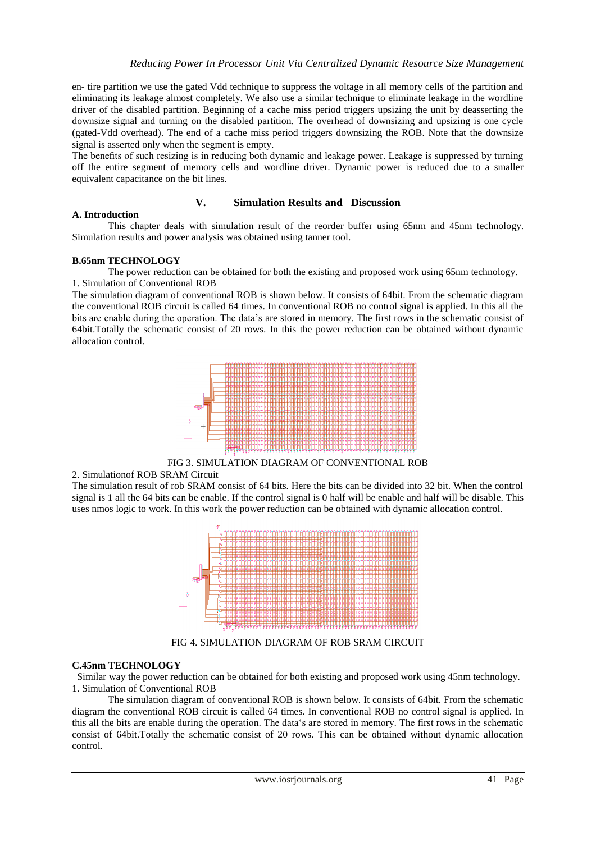en- tire partition we use the gated Vdd technique to suppress the voltage in all memory cells of the partition and eliminating its leakage almost completely. We also use a similar technique to eliminate leakage in the wordline driver of the disabled partition. Beginning of a cache miss period triggers upsizing the unit by deasserting the downsize signal and turning on the disabled partition. The overhead of downsizing and upsizing is one cycle (gated-Vdd overhead). The end of a cache miss period triggers downsizing the ROB. Note that the downsize signal is asserted only when the segment is empty.

The benefits of such resizing is in reducing both dynamic and leakage power. Leakage is suppressed by turning off the entire segment of memory cells and wordline driver. Dynamic power is reduced due to a smaller equivalent capacitance on the bit lines.

### **V. Simulation Results and Discussion**

#### **A. Introduction**

This chapter deals with simulation result of the reorder buffer using 65nm and 45nm technology. Simulation results and power analysis was obtained using tanner tool.

### **B.65nm TECHNOLOGY**

The power reduction can be obtained for both the existing and proposed work using 65nm technology. 1. Simulation of Conventional ROB

The simulation diagram of conventional ROB is shown below. It consists of 64bit. From the schematic diagram the conventional ROB circuit is called 64 times. In conventional ROB no control signal is applied. In this all the bits are enable during the operation. The data"s are stored in memory. The first rows in the schematic consist of 64bit.Totally the schematic consist of 20 rows. In this the power reduction can be obtained without dynamic allocation control.



FIG 3. SIMULATION DIAGRAM OF CONVENTIONAL ROB

#### 2. Simulationof ROB SRAM Circuit

The simulation result of rob SRAM consist of 64 bits. Here the bits can be divided into 32 bit. When the control signal is 1 all the 64 bits can be enable. If the control signal is 0 half will be enable and half will be disable. This uses nmos logic to work. In this work the power reduction can be obtained with dynamic allocation control.



FIG 4. SIMULATION DIAGRAM OF ROB SRAM CIRCUIT

#### **C.45nm TECHNOLOGY**

 Similar way the power reduction can be obtained for both existing and proposed work using 45nm technology. 1. Simulation of Conventional ROB

The simulation diagram of conventional ROB is shown below. It consists of 64bit. From the schematic diagram the conventional ROB circuit is called 64 times. In conventional ROB no control signal is applied. In this all the bits are enable during the operation. The data"s are stored in memory. The first rows in the schematic consist of 64bit.Totally the schematic consist of 20 rows. This can be obtained without dynamic allocation control.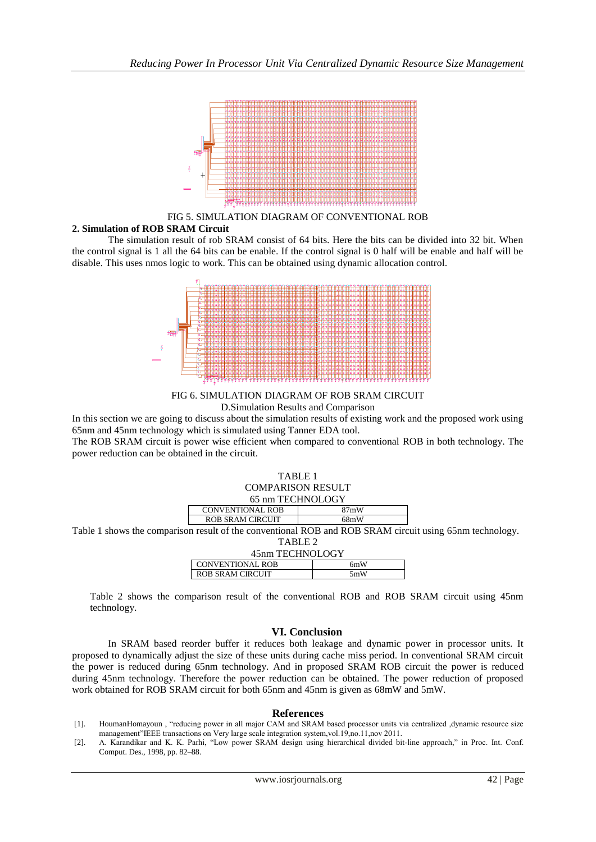

FIG 5. SIMULATION DIAGRAM OF CONVENTIONAL ROB

# **2. Simulation of ROB SRAM Circuit**

The simulation result of rob SRAM consist of 64 bits. Here the bits can be divided into 32 bit. When the control signal is 1 all the 64 bits can be enable. If the control signal is 0 half will be enable and half will be disable. This uses nmos logic to work. This can be obtained using dynamic allocation control.



FIG 6. SIMULATION DIAGRAM OF ROB SRAM CIRCUIT D.Simulation Results and Comparison

In this section we are going to discuss about the simulation results of existing work and the proposed work using 65nm and 45nm technology which is simulated using Tanner EDA tool.

The ROB SRAM circuit is power wise efficient when compared to conventional ROB in both technology. The power reduction can be obtained in the circuit.

| TABLE 1                  |  |  |
|--------------------------|--|--|
| <b>COMPARISON RESULT</b> |  |  |
| 65 nm TECHNOLOGY         |  |  |

|                                                                                                                                        | <b>CONVENTIONAL ROB</b> | 27mW |  |  |
|----------------------------------------------------------------------------------------------------------------------------------------|-------------------------|------|--|--|
|                                                                                                                                        | <b>ROB SRAM CIRCUIT</b> | 68mW |  |  |
| $\ldots$ $\ldots$ $\ldots$ $\ldots$ $\ldots$ $\ldots$ $\ldots$ $\ldots$ $\ldots$ $\ldots$ $\ldots$ $\ldots$ $\ldots$ $\ldots$ $\ldots$ |                         |      |  |  |

Table 1 shows the comparison result of the conventional ROB and ROB SRAM circuit using 65nm technology.  $TATH T2$ 

| TABLE 2                 |      |  |  |
|-------------------------|------|--|--|
| 45nm TECHNOLOGY         |      |  |  |
| <b>CONVENTIONAL ROB</b> | 6mW  |  |  |
| ROB SRAM CIRCUIT        | .5mW |  |  |
|                         |      |  |  |

Table 2 shows the comparison result of the conventional ROB and ROB SRAM circuit using 45nm technology.

# **VI. Conclusion**

In SRAM based reorder buffer it reduces both leakage and dynamic power in processor units. It proposed to dynamically adjust the size of these units during cache miss period. In conventional SRAM circuit the power is reduced during 65nm technology. And in proposed SRAM ROB circuit the power is reduced during 45nm technology. Therefore the power reduction can be obtained. The power reduction of proposed work obtained for ROB SRAM circuit for both 65nm and 45nm is given as 68mW and 5mW.

#### **References**

- [1]. HoumanHomayoun , "reducing power in all major CAM and SRAM based processor units via centralized ,dynamic resource size management"IEEE transactions on Very large scale integration system,vol.19,no.11,nov 2011.
- [2]. A. Karandikar and K. K. Parhi, "Low power SRAM design using hierarchical divided bit-line approach," in Proc. Int. Conf. Comput. Des., 1998, pp. 82–88.